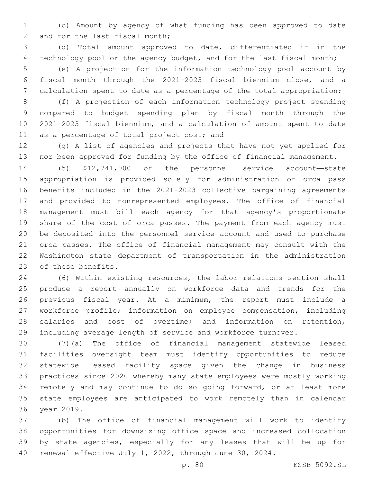(c) Amount by agency of what funding has been approved to date 2 and for the last fiscal month;

 (d) Total amount approved to date, differentiated if in the technology pool or the agency budget, and for the last fiscal month; (e) A projection for the information technology pool account by fiscal month through the 2021-2023 fiscal biennium close, and a calculation spent to date as a percentage of the total appropriation;

 (f) A projection of each information technology project spending compared to budget spending plan by fiscal month through the 2021-2023 fiscal biennium, and a calculation of amount spent to date 11 as a percentage of total project cost; and

 (g) A list of agencies and projects that have not yet applied for nor been approved for funding by the office of financial management.

 (5) \$12,741,000 of the personnel service account—state appropriation is provided solely for administration of orca pass benefits included in the 2021-2023 collective bargaining agreements and provided to nonrepresented employees. The office of financial management must bill each agency for that agency's proportionate share of the cost of orca passes. The payment from each agency must be deposited into the personnel service account and used to purchase orca passes. The office of financial management may consult with the Washington state department of transportation in the administration 23 of these benefits.

 (6) Within existing resources, the labor relations section shall produce a report annually on workforce data and trends for the previous fiscal year. At a minimum, the report must include a workforce profile; information on employee compensation, including salaries and cost of overtime; and information on retention, including average length of service and workforce turnover.

 (7)(a) The office of financial management statewide leased facilities oversight team must identify opportunities to reduce statewide leased facility space given the change in business practices since 2020 whereby many state employees were mostly working remotely and may continue to do so going forward, or at least more state employees are anticipated to work remotely than in calendar 36 year 2019.

 (b) The office of financial management will work to identify opportunities for downsizing office space and increased collocation by state agencies, especially for any leases that will be up for renewal effective July 1, 2022, through June 30, 2024.

p. 80 ESSB 5092.SL